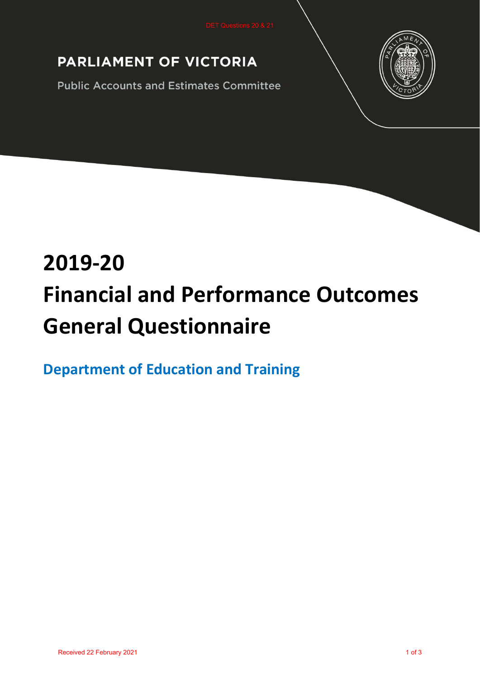# PARLIAMENT OF VICTORIA

**Public Accounts and Estimates Committee** 



# **2019-20 Financial and Performance Outcomes General Questionnaire**

**Department of Education and Training**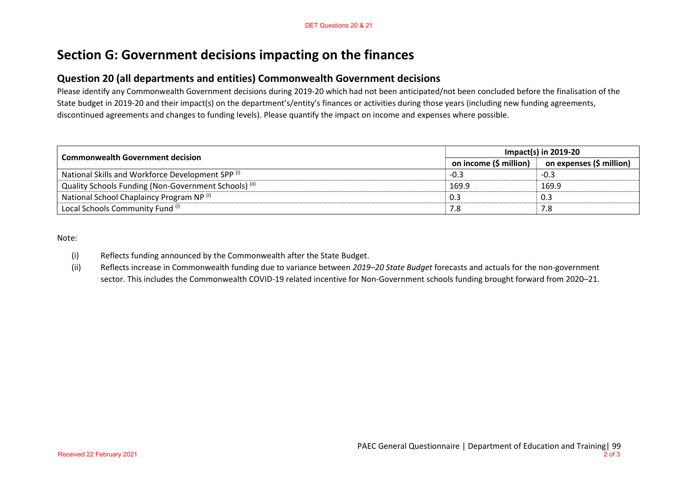## **Section G: Government decisions impacting on the finances**

#### **Question 20 (all departments and entities) Commonwealth Government decisions**

Please identify any Commonwealth Government decisions during 2019-20 which had not been anticipated/not been concluded before the finalisation of the State budget in 2019-20 and their impact(s) on the department's/entity's finances or activities during those years (including new funding agreements, discontinued agreements and changes to funding levels). Please quantify the impact on income and expenses where possible.

| <b>Commonwealth Government decision</b>                          | <b>Impact(s) in 2019-20</b> |                          |
|------------------------------------------------------------------|-----------------------------|--------------------------|
|                                                                  | on income (\$ million)      | on expenses (\$ million) |
| National Skills and Workforce Development SPP <sup>(i)</sup>     | -0.3                        | -0.3                     |
| Quality Schools Funding (Non-Government Schools) <sup>(ii)</sup> | 169.9                       | 169.9                    |
| National School Chaplaincy Program NP (i)                        | 0.3                         | 0.3                      |
| Local Schools Community Fund (i)                                 | 7.8                         | 7.8                      |

Note:

- (i) Reflects funding announced by the Commonwealth after the State Budget.
- (ii) Reflects increase in Commonwealth funding due to variance between *2019–20 State Budget* forecasts and actuals for the non-government sector. This includes the Commonwealth COVID-19 related incentive for Non-Government schools funding brought forward from 2020–21.